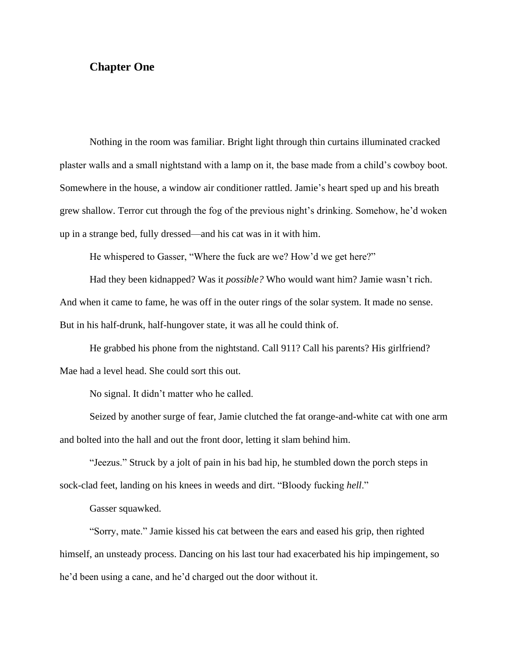## **Chapter One**

Nothing in the room was familiar. Bright light through thin curtains illuminated cracked plaster walls and a small nightstand with a lamp on it, the base made from a child's cowboy boot. Somewhere in the house, a window air conditioner rattled. Jamie's heart sped up and his breath grew shallow. Terror cut through the fog of the previous night's drinking. Somehow, he'd woken up in a strange bed, fully dressed—and his cat was in it with him.

He whispered to Gasser, "Where the fuck are we? How'd we get here?"

Had they been kidnapped? Was it *possible?* Who would want him? Jamie wasn't rich. And when it came to fame, he was off in the outer rings of the solar system. It made no sense. But in his half-drunk, half-hungover state, it was all he could think of.

He grabbed his phone from the nightstand. Call 911? Call his parents? His girlfriend? Mae had a level head. She could sort this out.

No signal. It didn't matter who he called.

Seized by another surge of fear, Jamie clutched the fat orange-and-white cat with one arm and bolted into the hall and out the front door, letting it slam behind him.

"Jeezus." Struck by a jolt of pain in his bad hip, he stumbled down the porch steps in sock-clad feet, landing on his knees in weeds and dirt. "Bloody fucking *hell*."

Gasser squawked.

"Sorry, mate." Jamie kissed his cat between the ears and eased his grip, then righted himself, an unsteady process. Dancing on his last tour had exacerbated his hip impingement, so he'd been using a cane, and he'd charged out the door without it.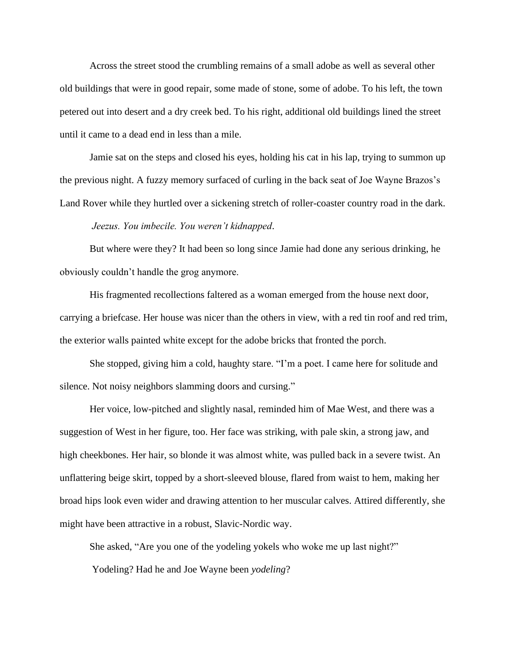Across the street stood the crumbling remains of a small adobe as well as several other old buildings that were in good repair, some made of stone, some of adobe. To his left, the town petered out into desert and a dry creek bed. To his right, additional old buildings lined the street until it came to a dead end in less than a mile.

Jamie sat on the steps and closed his eyes, holding his cat in his lap, trying to summon up the previous night. A fuzzy memory surfaced of curling in the back seat of Joe Wayne Brazos's Land Rover while they hurtled over a sickening stretch of roller-coaster country road in the dark.

## *Jeezus. You imbecile. You weren't kidnapped*.

But where were they? It had been so long since Jamie had done any serious drinking, he obviously couldn't handle the grog anymore.

His fragmented recollections faltered as a woman emerged from the house next door, carrying a briefcase. Her house was nicer than the others in view, with a red tin roof and red trim, the exterior walls painted white except for the adobe bricks that fronted the porch.

She stopped, giving him a cold, haughty stare. "I'm a poet. I came here for solitude and silence. Not noisy neighbors slamming doors and cursing."

Her voice, low-pitched and slightly nasal, reminded him of Mae West, and there was a suggestion of West in her figure, too. Her face was striking, with pale skin, a strong jaw, and high cheekbones. Her hair, so blonde it was almost white, was pulled back in a severe twist. An unflattering beige skirt, topped by a short-sleeved blouse, flared from waist to hem, making her broad hips look even wider and drawing attention to her muscular calves. Attired differently, she might have been attractive in a robust, Slavic-Nordic way.

She asked, "Are you one of the yodeling yokels who woke me up last night?"

Yodeling? Had he and Joe Wayne been *yodeling*?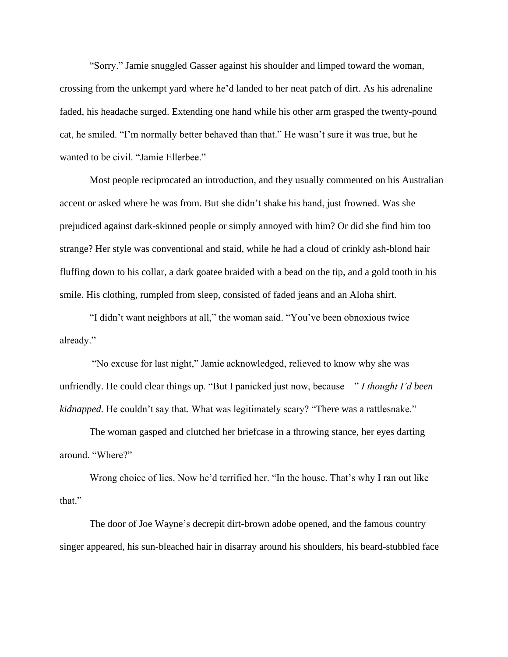"Sorry." Jamie snuggled Gasser against his shoulder and limped toward the woman, crossing from the unkempt yard where he'd landed to her neat patch of dirt. As his adrenaline faded, his headache surged. Extending one hand while his other arm grasped the twenty-pound cat, he smiled. "I'm normally better behaved than that." He wasn't sure it was true, but he wanted to be civil. "Jamie Ellerbee."

Most people reciprocated an introduction, and they usually commented on his Australian accent or asked where he was from. But she didn't shake his hand, just frowned. Was she prejudiced against dark-skinned people or simply annoyed with him? Or did she find him too strange? Her style was conventional and staid, while he had a cloud of crinkly ash-blond hair fluffing down to his collar, a dark goatee braided with a bead on the tip, and a gold tooth in his smile. His clothing, rumpled from sleep, consisted of faded jeans and an Aloha shirt.

"I didn't want neighbors at all," the woman said. "You've been obnoxious twice already."

"No excuse for last night," Jamie acknowledged, relieved to know why she was unfriendly. He could clear things up. "But I panicked just now, because—" *I thought I'd been kidnapped*. He couldn't say that. What was legitimately scary? "There was a rattlesnake."

The woman gasped and clutched her briefcase in a throwing stance, her eyes darting around. "Where?"

Wrong choice of lies. Now he'd terrified her. "In the house. That's why I ran out like that."

The door of Joe Wayne's decrepit dirt-brown adobe opened, and the famous country singer appeared, his sun-bleached hair in disarray around his shoulders, his beard-stubbled face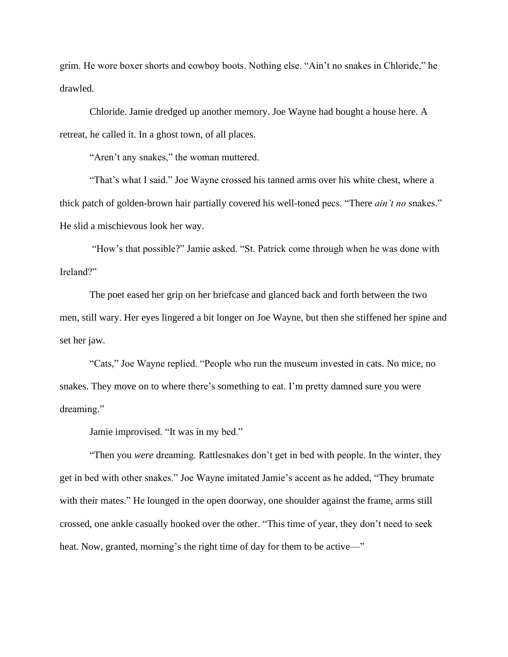grim. He wore boxer shorts and cowboy boots. Nothing else. "Ain't no snakes in Chloride," he drawled.

Chloride. Jamie dredged up another memory. Joe Wayne had bought a house here. A retreat, he called it. In a ghost town, of all places.

"Aren't any snakes," the woman muttered.

"That's what I said." Joe Wayne crossed his tanned arms over his white chest, where a thick patch of golden-brown hair partially covered his well-toned pecs. "There *ain't no* snakes." He slid a mischievous look her way.

"How's that possible?" Jamie asked. "St. Patrick come through when he was done with Ireland?"

The poet eased her grip on her briefcase and glanced back and forth between the two men, still wary. Her eyes lingered a bit longer on Joe Wayne, but then she stiffened her spine and set her jaw.

"Cats," Joe Wayne replied. "People who run the museum invested in cats. No mice, no snakes. They move on to where there's something to eat. I'm pretty damned sure you were dreaming."

Jamie improvised. "It was in my bed."

"Then you *were* dreaming. Rattlesnakes don't get in bed with people. In the winter, they get in bed with other snakes." Joe Wayne imitated Jamie's accent as he added, "They brumate with their mates." He lounged in the open doorway, one shoulder against the frame, arms still crossed, one ankle casually hooked over the other. "This time of year, they don't need to seek heat. Now, granted, morning's the right time of day for them to be active—"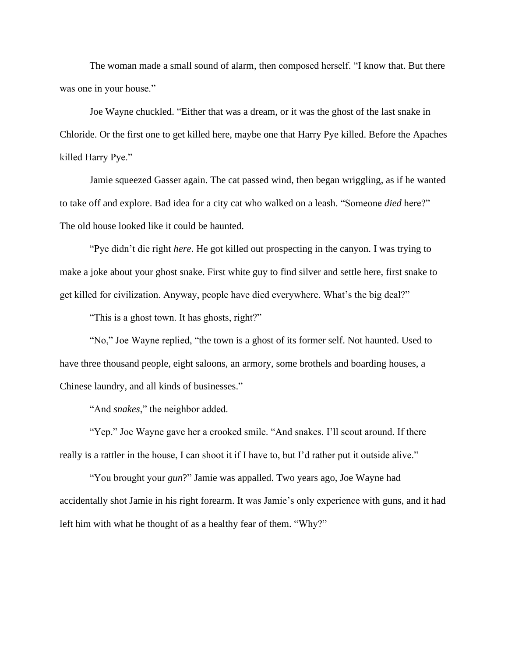The woman made a small sound of alarm, then composed herself. "I know that. But there was one in your house."

Joe Wayne chuckled. "Either that was a dream, or it was the ghost of the last snake in Chloride. Or the first one to get killed here, maybe one that Harry Pye killed. Before the Apaches killed Harry Pye."

Jamie squeezed Gasser again. The cat passed wind, then began wriggling, as if he wanted to take off and explore. Bad idea for a city cat who walked on a leash. "Someone *died* here?" The old house looked like it could be haunted.

"Pye didn't die right *here*. He got killed out prospecting in the canyon. I was trying to make a joke about your ghost snake. First white guy to find silver and settle here, first snake to get killed for civilization. Anyway, people have died everywhere. What's the big deal?"

"This is a ghost town. It has ghosts, right?"

"No," Joe Wayne replied, "the town is a ghost of its former self. Not haunted. Used to have three thousand people, eight saloons, an armory, some brothels and boarding houses, a Chinese laundry, and all kinds of businesses."

"And *snakes*," the neighbor added.

"Yep." Joe Wayne gave her a crooked smile. "And snakes. I'll scout around. If there really is a rattler in the house, I can shoot it if I have to, but I'd rather put it outside alive."

"You brought your *gun*?" Jamie was appalled. Two years ago, Joe Wayne had accidentally shot Jamie in his right forearm. It was Jamie's only experience with guns, and it had left him with what he thought of as a healthy fear of them. "Why?"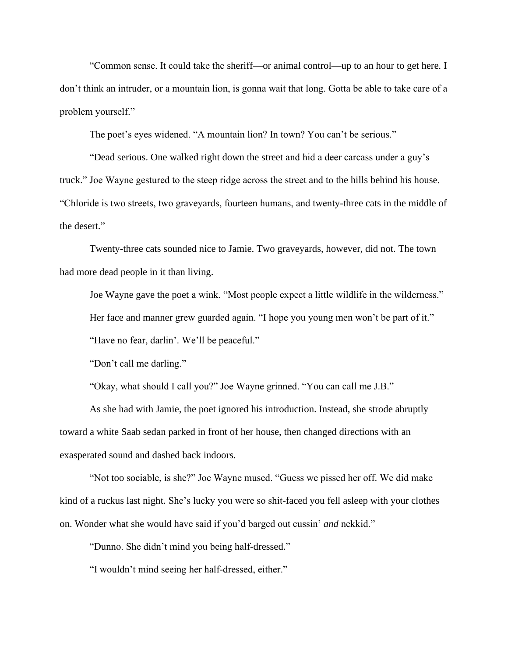"Common sense. It could take the sheriff—or animal control—up to an hour to get here. I don't think an intruder, or a mountain lion, is gonna wait that long. Gotta be able to take care of a problem yourself."

The poet's eyes widened. "A mountain lion? In town? You can't be serious."

"Dead serious. One walked right down the street and hid a deer carcass under a guy's truck." Joe Wayne gestured to the steep ridge across the street and to the hills behind his house. "Chloride is two streets, two graveyards, fourteen humans, and twenty-three cats in the middle of the desert."

Twenty-three cats sounded nice to Jamie. Two graveyards, however, did not. The town had more dead people in it than living.

Joe Wayne gave the poet a wink. "Most people expect a little wildlife in the wilderness."

Her face and manner grew guarded again. "I hope you young men won't be part of it."

"Have no fear, darlin'. We'll be peaceful."

"Don't call me darling."

"Okay, what should I call you?" Joe Wayne grinned. "You can call me J.B."

As she had with Jamie, the poet ignored his introduction. Instead, she strode abruptly toward a white Saab sedan parked in front of her house, then changed directions with an exasperated sound and dashed back indoors.

"Not too sociable, is she?" Joe Wayne mused. "Guess we pissed her off. We did make kind of a ruckus last night. She's lucky you were so shit-faced you fell asleep with your clothes on. Wonder what she would have said if you'd barged out cussin' *and* nekkid."

"Dunno. She didn't mind you being half-dressed."

"I wouldn't mind seeing her half-dressed, either."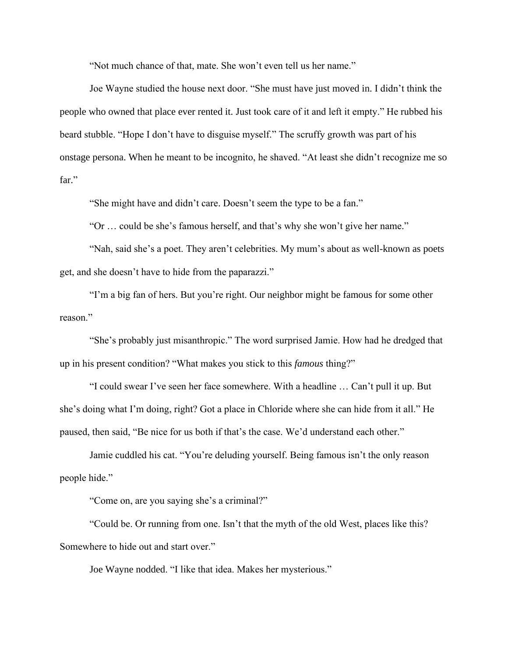"Not much chance of that, mate. She won't even tell us her name."

Joe Wayne studied the house next door. "She must have just moved in. I didn't think the people who owned that place ever rented it. Just took care of it and left it empty." He rubbed his beard stubble. "Hope I don't have to disguise myself." The scruffy growth was part of his onstage persona. When he meant to be incognito, he shaved. "At least she didn't recognize me so far."

"She might have and didn't care. Doesn't seem the type to be a fan."

"Or … could be she's famous herself, and that's why she won't give her name."

"Nah, said she's a poet. They aren't celebrities. My mum's about as well-known as poets get, and she doesn't have to hide from the paparazzi."

"I'm a big fan of hers. But you're right. Our neighbor might be famous for some other reason."

"She's probably just misanthropic." The word surprised Jamie. How had he dredged that up in his present condition? "What makes you stick to this *famous* thing?"

"I could swear I've seen her face somewhere. With a headline … Can't pull it up. But she's doing what I'm doing, right? Got a place in Chloride where she can hide from it all." He paused, then said, "Be nice for us both if that's the case. We'd understand each other."

Jamie cuddled his cat. "You're deluding yourself. Being famous isn't the only reason people hide."

"Come on, are you saying she's a criminal?"

"Could be. Or running from one. Isn't that the myth of the old West, places like this? Somewhere to hide out and start over."

Joe Wayne nodded. "I like that idea. Makes her mysterious."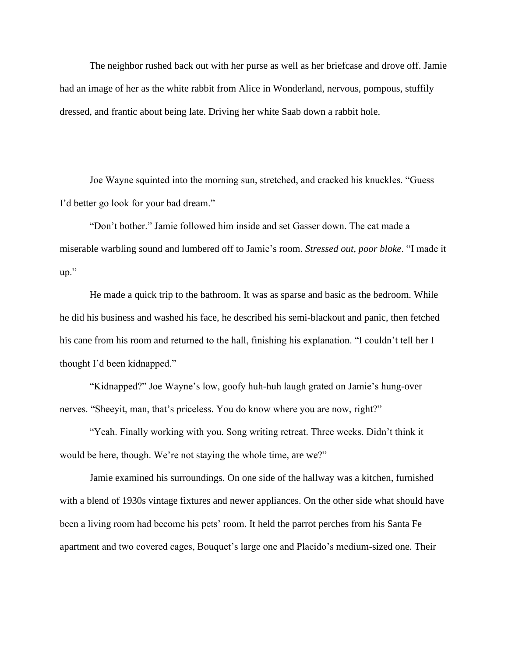The neighbor rushed back out with her purse as well as her briefcase and drove off. Jamie had an image of her as the white rabbit from Alice in Wonderland, nervous, pompous, stuffily dressed, and frantic about being late. Driving her white Saab down a rabbit hole.

Joe Wayne squinted into the morning sun, stretched, and cracked his knuckles. "Guess I'd better go look for your bad dream."

"Don't bother." Jamie followed him inside and set Gasser down. The cat made a miserable warbling sound and lumbered off to Jamie's room. *Stressed out, poor bloke*. "I made it up."

He made a quick trip to the bathroom. It was as sparse and basic as the bedroom. While he did his business and washed his face, he described his semi-blackout and panic, then fetched his cane from his room and returned to the hall, finishing his explanation. "I couldn't tell her I thought I'd been kidnapped."

"Kidnapped?" Joe Wayne's low, goofy huh-huh laugh grated on Jamie's hung-over nerves. "Sheeyit, man, that's priceless. You do know where you are now, right?"

"Yeah. Finally working with you. Song writing retreat. Three weeks. Didn't think it would be here, though. We're not staying the whole time, are we?"

Jamie examined his surroundings. On one side of the hallway was a kitchen, furnished with a blend of 1930s vintage fixtures and newer appliances. On the other side what should have been a living room had become his pets' room. It held the parrot perches from his Santa Fe apartment and two covered cages, Bouquet's large one and Placido's medium-sized one. Their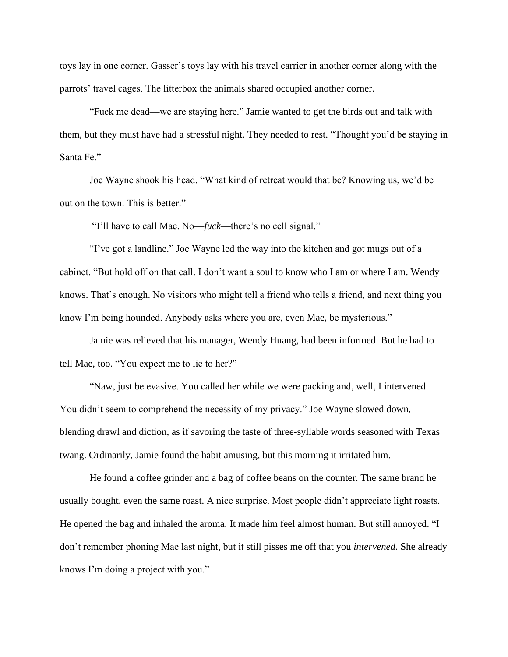toys lay in one corner. Gasser's toys lay with his travel carrier in another corner along with the parrots' travel cages. The litterbox the animals shared occupied another corner.

"Fuck me dead—we are staying here." Jamie wanted to get the birds out and talk with them, but they must have had a stressful night. They needed to rest. "Thought you'd be staying in Santa Fe."

Joe Wayne shook his head. "What kind of retreat would that be? Knowing us, we'd be out on the town. This is better."

"I'll have to call Mae. No—*fuck*—there's no cell signal."

"I've got a landline." Joe Wayne led the way into the kitchen and got mugs out of a cabinet. "But hold off on that call. I don't want a soul to know who I am or where I am. Wendy knows. That's enough. No visitors who might tell a friend who tells a friend, and next thing you know I'm being hounded. Anybody asks where you are, even Mae, be mysterious."

Jamie was relieved that his manager, Wendy Huang, had been informed. But he had to tell Mae, too. "You expect me to lie to her?"

"Naw, just be evasive. You called her while we were packing and, well, I intervened. You didn't seem to comprehend the necessity of my privacy." Joe Wayne slowed down, blending drawl and diction, as if savoring the taste of three-syllable words seasoned with Texas twang. Ordinarily, Jamie found the habit amusing, but this morning it irritated him.

He found a coffee grinder and a bag of coffee beans on the counter. The same brand he usually bought, even the same roast. A nice surprise. Most people didn't appreciate light roasts. He opened the bag and inhaled the aroma. It made him feel almost human. But still annoyed. "I don't remember phoning Mae last night, but it still pisses me off that you *intervened.* She already knows I'm doing a project with you."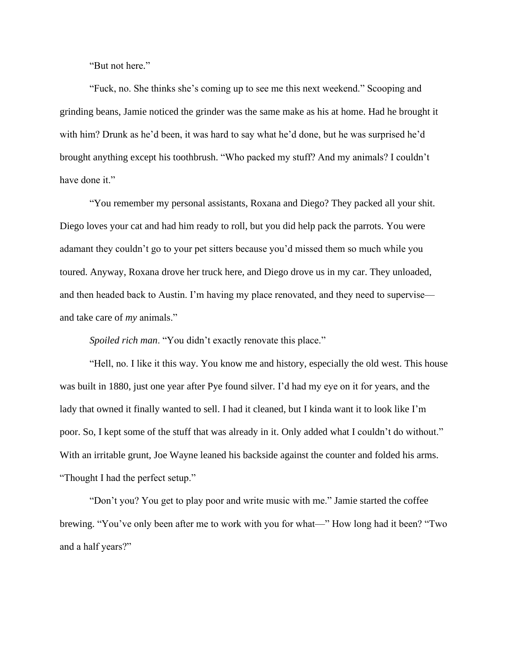"But not here."

"Fuck, no. She thinks she's coming up to see me this next weekend." Scooping and grinding beans, Jamie noticed the grinder was the same make as his at home. Had he brought it with him? Drunk as he'd been, it was hard to say what he'd done, but he was surprised he'd brought anything except his toothbrush. "Who packed my stuff? And my animals? I couldn't have done it."

"You remember my personal assistants, Roxana and Diego? They packed all your shit. Diego loves your cat and had him ready to roll, but you did help pack the parrots. You were adamant they couldn't go to your pet sitters because you'd missed them so much while you toured. Anyway, Roxana drove her truck here, and Diego drove us in my car. They unloaded, and then headed back to Austin. I'm having my place renovated, and they need to supervise and take care of *my* animals."

*Spoiled rich man*. "You didn't exactly renovate this place."

"Hell, no. I like it this way. You know me and history, especially the old west. This house was built in 1880, just one year after Pye found silver. I'd had my eye on it for years, and the lady that owned it finally wanted to sell. I had it cleaned, but I kinda want it to look like I'm poor. So, I kept some of the stuff that was already in it. Only added what I couldn't do without." With an irritable grunt, Joe Wayne leaned his backside against the counter and folded his arms. "Thought I had the perfect setup."

"Don't you? You get to play poor and write music with me." Jamie started the coffee brewing. "You've only been after me to work with you for what—" How long had it been? "Two and a half years?"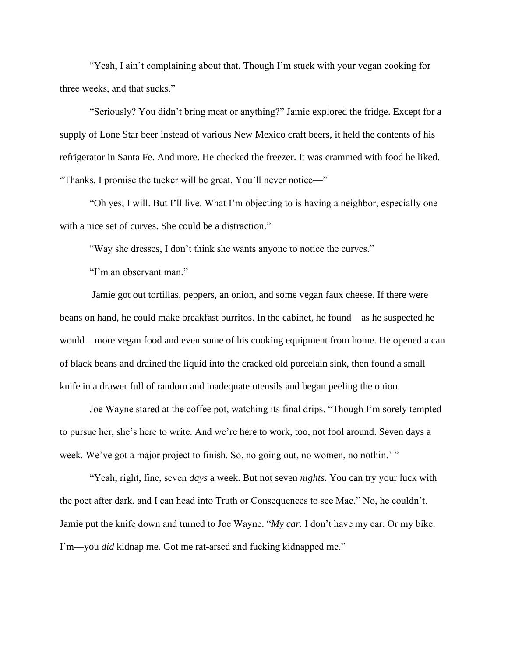"Yeah, I ain't complaining about that. Though I'm stuck with your vegan cooking for three weeks, and that sucks."

"Seriously? You didn't bring meat or anything?" Jamie explored the fridge. Except for a supply of Lone Star beer instead of various New Mexico craft beers, it held the contents of his refrigerator in Santa Fe. And more. He checked the freezer. It was crammed with food he liked. "Thanks. I promise the tucker will be great. You'll never notice—"

"Oh yes, I will. But I'll live. What I'm objecting to is having a neighbor, especially one with a nice set of curves. She could be a distraction."

"Way she dresses, I don't think she wants anyone to notice the curves."

"I'm an observant man."

Jamie got out tortillas, peppers, an onion, and some vegan faux cheese. If there were beans on hand, he could make breakfast burritos. In the cabinet, he found—as he suspected he would—more vegan food and even some of his cooking equipment from home. He opened a can of black beans and drained the liquid into the cracked old porcelain sink, then found a small knife in a drawer full of random and inadequate utensils and began peeling the onion.

Joe Wayne stared at the coffee pot, watching its final drips. "Though I'm sorely tempted to pursue her, she's here to write. And we're here to work, too, not fool around. Seven days a week. We've got a major project to finish. So, no going out, no women, no nothin.' "

"Yeah, right, fine, seven *days* a week. But not seven *nights.* You can try your luck with the poet after dark, and I can head into Truth or Consequences to see Mae." No, he couldn't. Jamie put the knife down and turned to Joe Wayne. "*My car*. I don't have my car. Or my bike. I'm—you *did* kidnap me. Got me rat-arsed and fucking kidnapped me."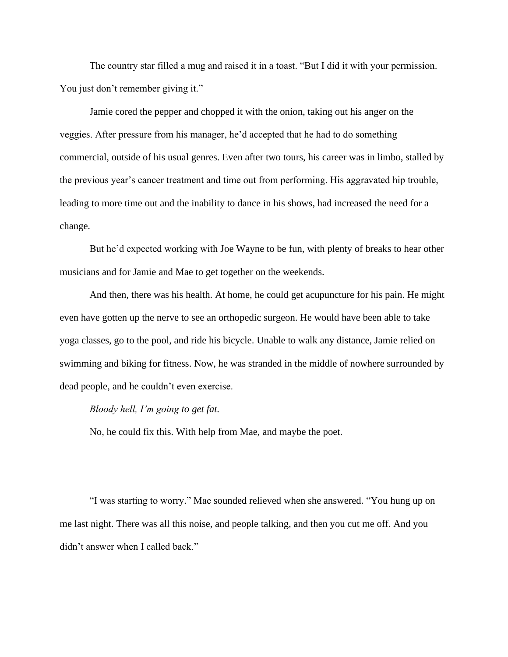The country star filled a mug and raised it in a toast. "But I did it with your permission. You just don't remember giving it."

Jamie cored the pepper and chopped it with the onion, taking out his anger on the veggies. After pressure from his manager, he'd accepted that he had to do something commercial, outside of his usual genres. Even after two tours, his career was in limbo, stalled by the previous year's cancer treatment and time out from performing. His aggravated hip trouble, leading to more time out and the inability to dance in his shows, had increased the need for a change.

But he'd expected working with Joe Wayne to be fun, with plenty of breaks to hear other musicians and for Jamie and Mae to get together on the weekends.

And then, there was his health. At home, he could get acupuncture for his pain. He might even have gotten up the nerve to see an orthopedic surgeon. He would have been able to take yoga classes, go to the pool, and ride his bicycle. Unable to walk any distance, Jamie relied on swimming and biking for fitness. Now, he was stranded in the middle of nowhere surrounded by dead people, and he couldn't even exercise.

## *Bloody hell, I'm going to get fat.*

No, he could fix this. With help from Mae, and maybe the poet.

"I was starting to worry." Mae sounded relieved when she answered. "You hung up on me last night. There was all this noise, and people talking, and then you cut me off. And you didn't answer when I called back."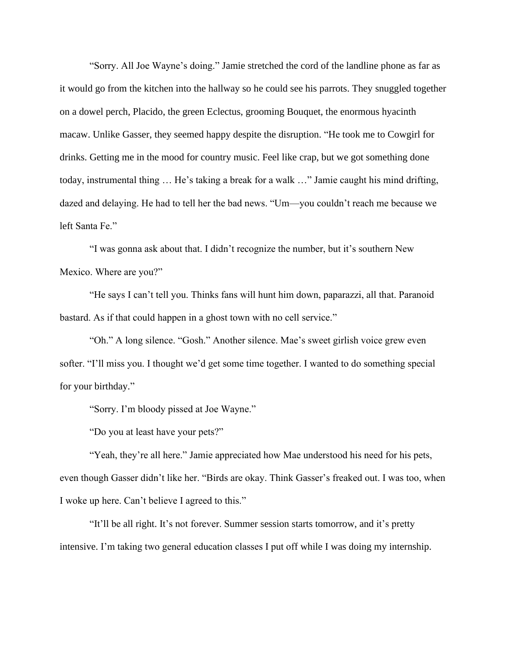"Sorry. All Joe Wayne's doing." Jamie stretched the cord of the landline phone as far as it would go from the kitchen into the hallway so he could see his parrots. They snuggled together on a dowel perch, Placido, the green Eclectus, grooming Bouquet, the enormous hyacinth macaw. Unlike Gasser, they seemed happy despite the disruption. "He took me to Cowgirl for drinks. Getting me in the mood for country music. Feel like crap, but we got something done today, instrumental thing … He's taking a break for a walk …" Jamie caught his mind drifting, dazed and delaying. He had to tell her the bad news. "Um—you couldn't reach me because we left Santa Fe."

"I was gonna ask about that. I didn't recognize the number, but it's southern New Mexico. Where are you?"

"He says I can't tell you. Thinks fans will hunt him down, paparazzi, all that. Paranoid bastard. As if that could happen in a ghost town with no cell service."

"Oh." A long silence. "Gosh." Another silence. Mae's sweet girlish voice grew even softer. "I'll miss you. I thought we'd get some time together. I wanted to do something special for your birthday."

"Sorry. I'm bloody pissed at Joe Wayne."

"Do you at least have your pets?"

"Yeah, they're all here." Jamie appreciated how Mae understood his need for his pets, even though Gasser didn't like her. "Birds are okay. Think Gasser's freaked out. I was too, when I woke up here. Can't believe I agreed to this."

"It'll be all right. It's not forever. Summer session starts tomorrow, and it's pretty intensive. I'm taking two general education classes I put off while I was doing my internship.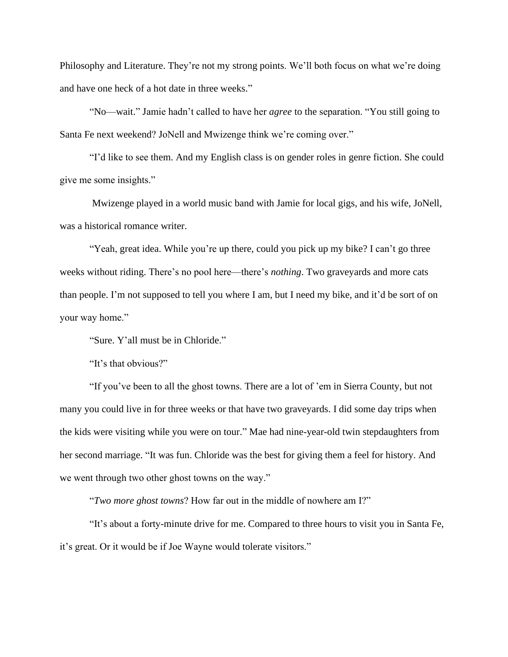Philosophy and Literature. They're not my strong points. We'll both focus on what we're doing and have one heck of a hot date in three weeks."

"No—wait." Jamie hadn't called to have her *agree* to the separation. "You still going to Santa Fe next weekend? JoNell and Mwizenge think we're coming over."

"I'd like to see them. And my English class is on gender roles in genre fiction. She could give me some insights."

Mwizenge played in a world music band with Jamie for local gigs, and his wife, JoNell, was a historical romance writer.

"Yeah, great idea. While you're up there, could you pick up my bike? I can't go three weeks without riding. There's no pool here—there's *nothing*. Two graveyards and more cats than people. I'm not supposed to tell you where I am, but I need my bike, and it'd be sort of on your way home."

"Sure. Y'all must be in Chloride."

"It's that obvious?"

"If you've been to all the ghost towns. There are a lot of 'em in Sierra County, but not many you could live in for three weeks or that have two graveyards. I did some day trips when the kids were visiting while you were on tour." Mae had nine-year-old twin stepdaughters from her second marriage. "It was fun. Chloride was the best for giving them a feel for history. And we went through two other ghost towns on the way."

"*Two more ghost towns*? How far out in the middle of nowhere am I?"

"It's about a forty-minute drive for me. Compared to three hours to visit you in Santa Fe, it's great. Or it would be if Joe Wayne would tolerate visitors."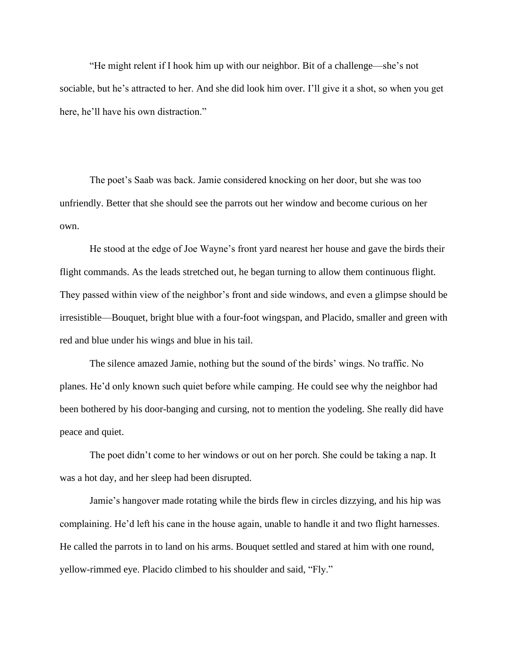"He might relent if I hook him up with our neighbor. Bit of a challenge—she's not sociable, but he's attracted to her. And she did look him over. I'll give it a shot, so when you get here, he'll have his own distraction."

The poet's Saab was back. Jamie considered knocking on her door, but she was too unfriendly. Better that she should see the parrots out her window and become curious on her own.

He stood at the edge of Joe Wayne's front yard nearest her house and gave the birds their flight commands. As the leads stretched out, he began turning to allow them continuous flight. They passed within view of the neighbor's front and side windows, and even a glimpse should be irresistible—Bouquet, bright blue with a four-foot wingspan, and Placido, smaller and green with red and blue under his wings and blue in his tail.

The silence amazed Jamie, nothing but the sound of the birds' wings. No traffic. No planes. He'd only known such quiet before while camping. He could see why the neighbor had been bothered by his door-banging and cursing, not to mention the yodeling. She really did have peace and quiet.

The poet didn't come to her windows or out on her porch. She could be taking a nap. It was a hot day, and her sleep had been disrupted.

Jamie's hangover made rotating while the birds flew in circles dizzying, and his hip was complaining. He'd left his cane in the house again, unable to handle it and two flight harnesses. He called the parrots in to land on his arms. Bouquet settled and stared at him with one round, yellow-rimmed eye. Placido climbed to his shoulder and said, "Fly."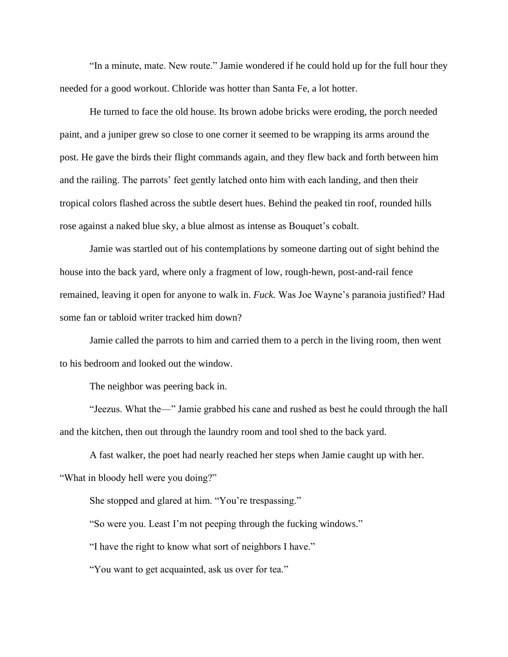"In a minute, mate. New route." Jamie wondered if he could hold up for the full hour they needed for a good workout. Chloride was hotter than Santa Fe, a lot hotter.

He turned to face the old house. Its brown adobe bricks were eroding, the porch needed paint, and a juniper grew so close to one corner it seemed to be wrapping its arms around the post. He gave the birds their flight commands again, and they flew back and forth between him and the railing. The parrots' feet gently latched onto him with each landing, and then their tropical colors flashed across the subtle desert hues. Behind the peaked tin roof, rounded hills rose against a naked blue sky, a blue almost as intense as Bouquet's cobalt.

Jamie was startled out of his contemplations by someone darting out of sight behind the house into the back yard, where only a fragment of low, rough-hewn, post-and-rail fence remained, leaving it open for anyone to walk in. *Fuck.* Was Joe Wayne's paranoia justified? Had some fan or tabloid writer tracked him down?

Jamie called the parrots to him and carried them to a perch in the living room, then went to his bedroom and looked out the window.

The neighbor was peering back in.

"Jeezus. What the—" Jamie grabbed his cane and rushed as best he could through the hall and the kitchen, then out through the laundry room and tool shed to the back yard.

A fast walker, the poet had nearly reached her steps when Jamie caught up with her. "What in bloody hell were you doing?"

She stopped and glared at him. "You're trespassing."

"So were you. Least I'm not peeping through the fucking windows."

"I have the right to know what sort of neighbors I have."

"You want to get acquainted, ask us over for tea."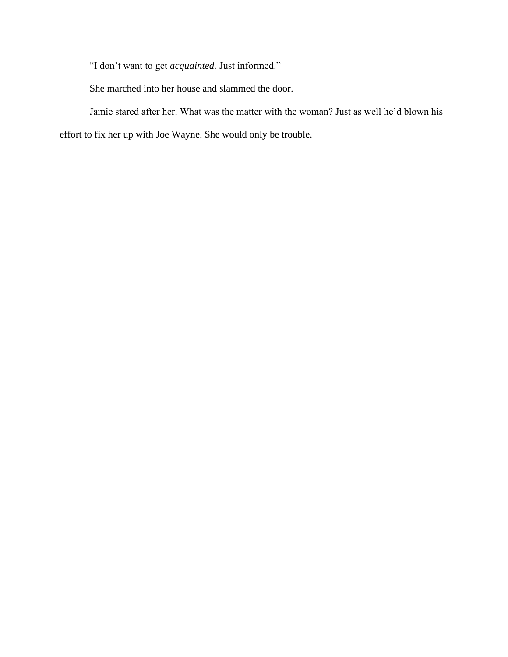"I don't want to get *acquainted.* Just informed."

She marched into her house and slammed the door.

Jamie stared after her. What was the matter with the woman? Just as well he'd blown his effort to fix her up with Joe Wayne. She would only be trouble.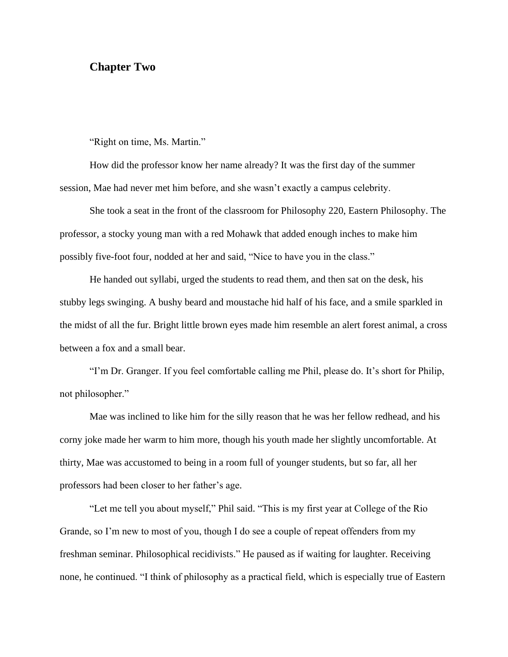## **Chapter Two**

"Right on time, Ms. Martin."

How did the professor know her name already? It was the first day of the summer session, Mae had never met him before, and she wasn't exactly a campus celebrity.

She took a seat in the front of the classroom for Philosophy 220, Eastern Philosophy. The professor, a stocky young man with a red Mohawk that added enough inches to make him possibly five-foot four, nodded at her and said, "Nice to have you in the class."

He handed out syllabi, urged the students to read them, and then sat on the desk, his stubby legs swinging. A bushy beard and moustache hid half of his face, and a smile sparkled in the midst of all the fur. Bright little brown eyes made him resemble an alert forest animal, a cross between a fox and a small bear.

"I'm Dr. Granger. If you feel comfortable calling me Phil, please do. It's short for Philip, not philosopher."

Mae was inclined to like him for the silly reason that he was her fellow redhead, and his corny joke made her warm to him more, though his youth made her slightly uncomfortable. At thirty, Mae was accustomed to being in a room full of younger students, but so far, all her professors had been closer to her father's age.

"Let me tell you about myself," Phil said. "This is my first year at College of the Rio Grande, so I'm new to most of you, though I do see a couple of repeat offenders from my freshman seminar. Philosophical recidivists." He paused as if waiting for laughter. Receiving none, he continued. "I think of philosophy as a practical field, which is especially true of Eastern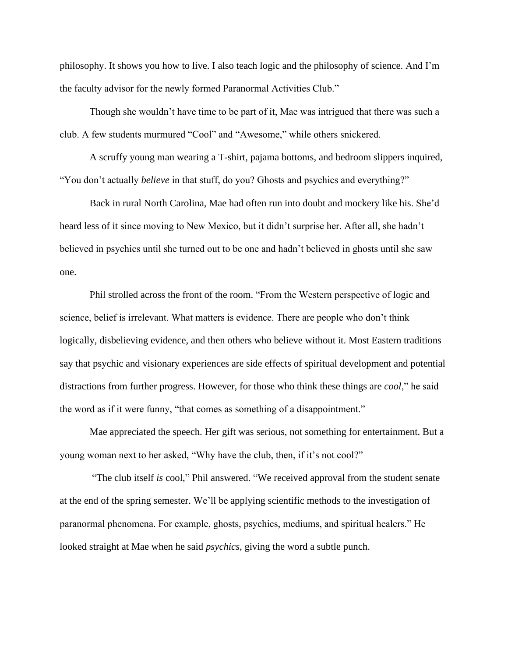philosophy. It shows you how to live. I also teach logic and the philosophy of science. And I'm the faculty advisor for the newly formed Paranormal Activities Club."

Though she wouldn't have time to be part of it, Mae was intrigued that there was such a club. A few students murmured "Cool" and "Awesome," while others snickered.

A scruffy young man wearing a T-shirt, pajama bottoms, and bedroom slippers inquired, "You don't actually *believe* in that stuff, do you? Ghosts and psychics and everything?"

Back in rural North Carolina, Mae had often run into doubt and mockery like his. She'd heard less of it since moving to New Mexico, but it didn't surprise her. After all, she hadn't believed in psychics until she turned out to be one and hadn't believed in ghosts until she saw one.

Phil strolled across the front of the room. "From the Western perspective of logic and science, belief is irrelevant. What matters is evidence. There are people who don't think logically, disbelieving evidence, and then others who believe without it. Most Eastern traditions say that psychic and visionary experiences are side effects of spiritual development and potential distractions from further progress. However, for those who think these things are *cool*," he said the word as if it were funny, "that comes as something of a disappointment."

Mae appreciated the speech. Her gift was serious, not something for entertainment. But a young woman next to her asked, "Why have the club, then, if it's not cool?"

"The club itself *is* cool," Phil answered. "We received approval from the student senate at the end of the spring semester. We'll be applying scientific methods to the investigation of paranormal phenomena. For example, ghosts, psychics, mediums, and spiritual healers." He looked straight at Mae when he said *psychics*, giving the word a subtle punch.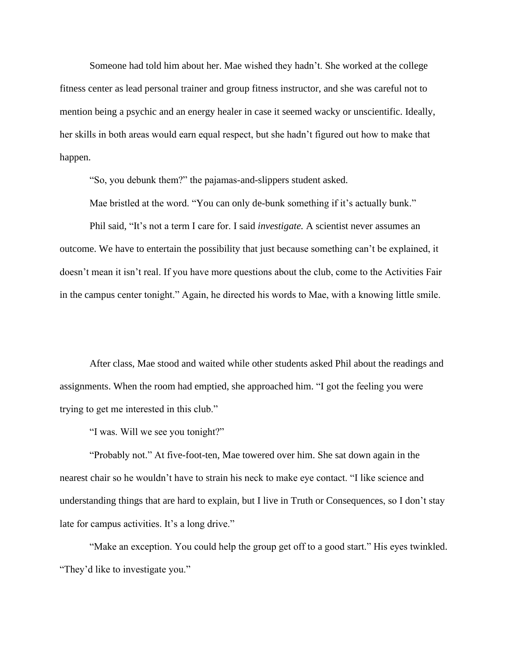Someone had told him about her. Mae wished they hadn't. She worked at the college fitness center as lead personal trainer and group fitness instructor, and she was careful not to mention being a psychic and an energy healer in case it seemed wacky or unscientific. Ideally, her skills in both areas would earn equal respect, but she hadn't figured out how to make that happen.

"So, you debunk them?" the pajamas-and-slippers student asked.

Mae bristled at the word. "You can only de-bunk something if it's actually bunk."

Phil said, "It's not a term I care for. I said *investigate.* A scientist never assumes an outcome. We have to entertain the possibility that just because something can't be explained, it doesn't mean it isn't real. If you have more questions about the club, come to the Activities Fair in the campus center tonight." Again, he directed his words to Mae, with a knowing little smile.

After class, Mae stood and waited while other students asked Phil about the readings and assignments. When the room had emptied, she approached him. "I got the feeling you were trying to get me interested in this club."

"I was. Will we see you tonight?"

"Probably not." At five-foot-ten, Mae towered over him. She sat down again in the nearest chair so he wouldn't have to strain his neck to make eye contact. "I like science and understanding things that are hard to explain, but I live in Truth or Consequences, so I don't stay late for campus activities. It's a long drive."

"Make an exception. You could help the group get off to a good start." His eyes twinkled. "They'd like to investigate you."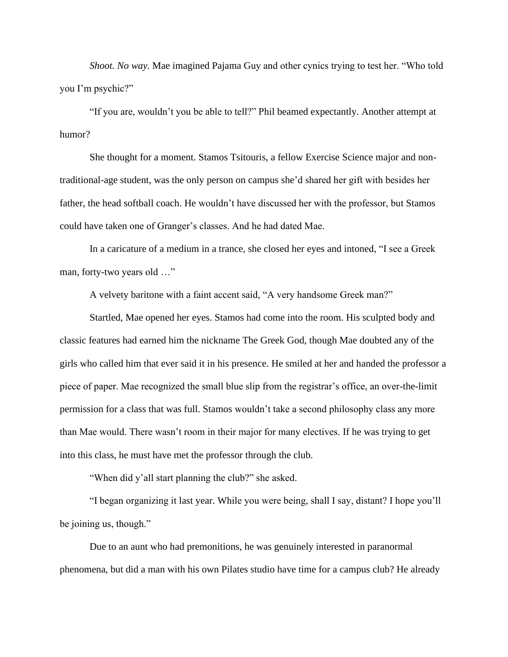*Shoot. No way.* Mae imagined Pajama Guy and other cynics trying to test her. "Who told you I'm psychic?"

"If you are, wouldn't you be able to tell?" Phil beamed expectantly. Another attempt at humor?

She thought for a moment. Stamos Tsitouris, a fellow Exercise Science major and nontraditional-age student, was the only person on campus she'd shared her gift with besides her father, the head softball coach. He wouldn't have discussed her with the professor, but Stamos could have taken one of Granger's classes. And he had dated Mae.

In a caricature of a medium in a trance, she closed her eyes and intoned, "I see a Greek man, forty-two years old …"

A velvety baritone with a faint accent said, "A very handsome Greek man?"

Startled, Mae opened her eyes. Stamos had come into the room. His sculpted body and classic features had earned him the nickname The Greek God, though Mae doubted any of the girls who called him that ever said it in his presence. He smiled at her and handed the professor a piece of paper. Mae recognized the small blue slip from the registrar's office, an over-the-limit permission for a class that was full. Stamos wouldn't take a second philosophy class any more than Mae would. There wasn't room in their major for many electives. If he was trying to get into this class, he must have met the professor through the club.

"When did y'all start planning the club?" she asked.

"I began organizing it last year. While you were being, shall I say, distant? I hope you'll be joining us, though."

Due to an aunt who had premonitions, he was genuinely interested in paranormal phenomena, but did a man with his own Pilates studio have time for a campus club? He already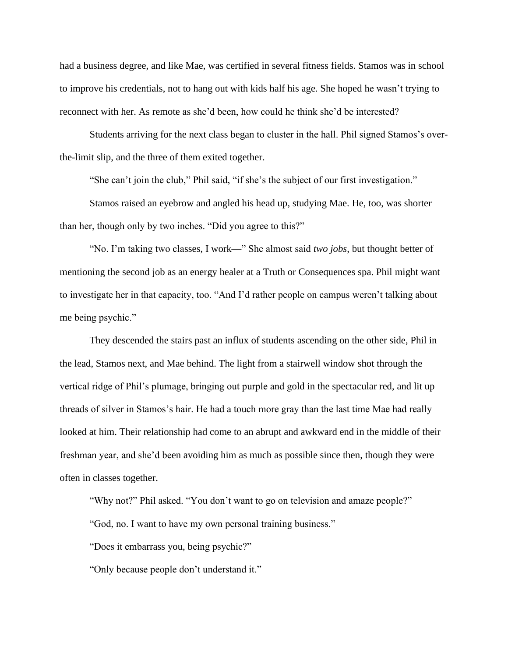had a business degree, and like Mae, was certified in several fitness fields. Stamos was in school to improve his credentials, not to hang out with kids half his age. She hoped he wasn't trying to reconnect with her. As remote as she'd been, how could he think she'd be interested?

Students arriving for the next class began to cluster in the hall. Phil signed Stamos's overthe-limit slip, and the three of them exited together.

"She can't join the club," Phil said, "if she's the subject of our first investigation."

Stamos raised an eyebrow and angled his head up, studying Mae. He, too, was shorter than her, though only by two inches. "Did you agree to this?"

"No. I'm taking two classes, I work—" She almost said *two jobs*, but thought better of mentioning the second job as an energy healer at a Truth or Consequences spa. Phil might want to investigate her in that capacity, too. "And I'd rather people on campus weren't talking about me being psychic."

They descended the stairs past an influx of students ascending on the other side, Phil in the lead, Stamos next, and Mae behind. The light from a stairwell window shot through the vertical ridge of Phil's plumage, bringing out purple and gold in the spectacular red, and lit up threads of silver in Stamos's hair. He had a touch more gray than the last time Mae had really looked at him. Their relationship had come to an abrupt and awkward end in the middle of their freshman year, and she'd been avoiding him as much as possible since then, though they were often in classes together.

"Why not?" Phil asked. "You don't want to go on television and amaze people?"

"God, no. I want to have my own personal training business."

"Does it embarrass you, being psychic?"

"Only because people don't understand it."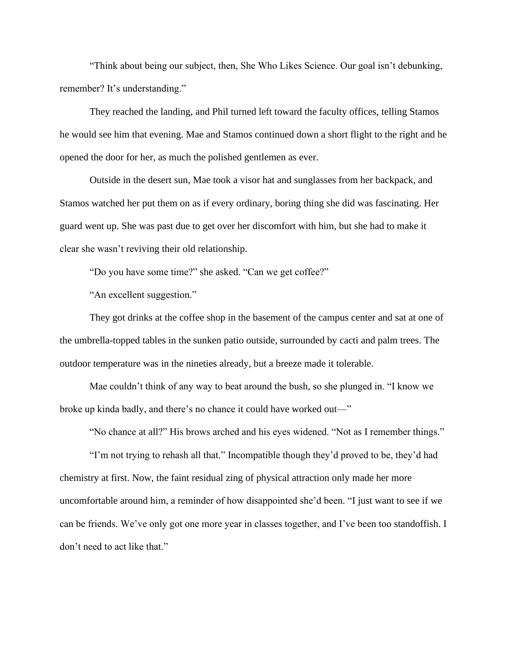"Think about being our subject, then, She Who Likes Science. Our goal isn't debunking, remember? It's understanding."

They reached the landing, and Phil turned left toward the faculty offices, telling Stamos he would see him that evening. Mae and Stamos continued down a short flight to the right and he opened the door for her, as much the polished gentlemen as ever.

Outside in the desert sun, Mae took a visor hat and sunglasses from her backpack, and Stamos watched her put them on as if every ordinary, boring thing she did was fascinating. Her guard went up. She was past due to get over her discomfort with him, but she had to make it clear she wasn't reviving their old relationship.

"Do you have some time?" she asked. "Can we get coffee?"

"An excellent suggestion."

They got drinks at the coffee shop in the basement of the campus center and sat at one of the umbrella-topped tables in the sunken patio outside, surrounded by cacti and palm trees. The outdoor temperature was in the nineties already, but a breeze made it tolerable.

Mae couldn't think of any way to beat around the bush, so she plunged in. "I know we broke up kinda badly, and there's no chance it could have worked out—"

"No chance at all?" His brows arched and his eyes widened. "Not as I remember things."

"I'm not trying to rehash all that." Incompatible though they'd proved to be, they'd had chemistry at first. Now, the faint residual zing of physical attraction only made her more uncomfortable around him, a reminder of how disappointed she'd been. "I just want to see if we can be friends. We've only got one more year in classes together, and I've been too standoffish. I don't need to act like that."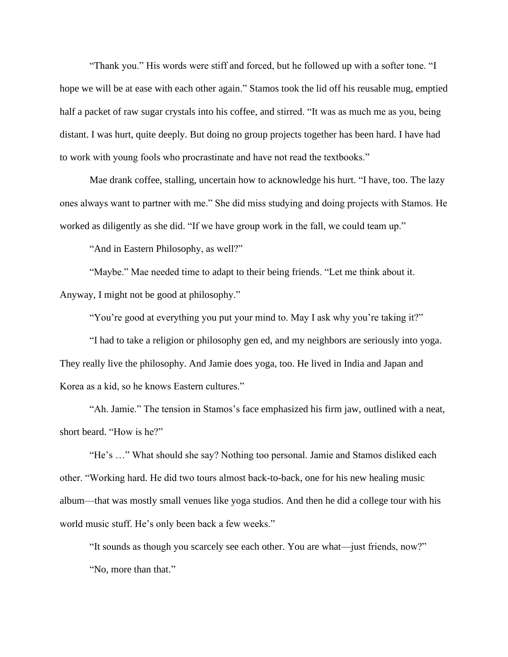"Thank you." His words were stiff and forced, but he followed up with a softer tone. "I hope we will be at ease with each other again." Stamos took the lid off his reusable mug, emptied half a packet of raw sugar crystals into his coffee, and stirred. "It was as much me as you, being distant. I was hurt, quite deeply. But doing no group projects together has been hard. I have had to work with young fools who procrastinate and have not read the textbooks."

Mae drank coffee, stalling, uncertain how to acknowledge his hurt. "I have, too. The lazy ones always want to partner with me." She did miss studying and doing projects with Stamos. He worked as diligently as she did. "If we have group work in the fall, we could team up."

"And in Eastern Philosophy, as well?"

"Maybe." Mae needed time to adapt to their being friends. "Let me think about it. Anyway, I might not be good at philosophy."

"You're good at everything you put your mind to. May I ask why you're taking it?"

"I had to take a religion or philosophy gen ed, and my neighbors are seriously into yoga. They really live the philosophy. And Jamie does yoga, too. He lived in India and Japan and Korea as a kid, so he knows Eastern cultures."

"Ah. Jamie." The tension in Stamos's face emphasized his firm jaw, outlined with a neat, short beard. "How is he?"

"He's …" What should she say? Nothing too personal. Jamie and Stamos disliked each other. "Working hard. He did two tours almost back-to-back, one for his new healing music album—that was mostly small venues like yoga studios. And then he did a college tour with his world music stuff. He's only been back a few weeks."

"It sounds as though you scarcely see each other. You are what—just friends, now?" "No, more than that."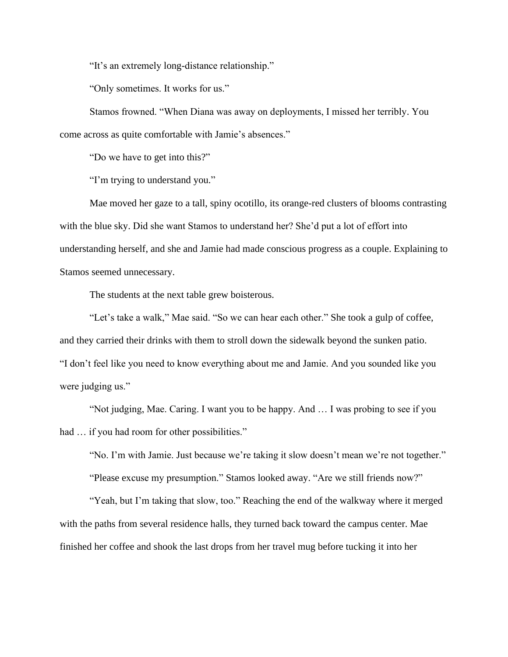"It's an extremely long-distance relationship."

"Only sometimes. It works for us."

Stamos frowned. "When Diana was away on deployments, I missed her terribly. You come across as quite comfortable with Jamie's absences."

"Do we have to get into this?"

"I'm trying to understand you."

Mae moved her gaze to a tall, spiny ocotillo, its orange-red clusters of blooms contrasting with the blue sky. Did she want Stamos to understand her? She'd put a lot of effort into understanding herself, and she and Jamie had made conscious progress as a couple. Explaining to Stamos seemed unnecessary.

The students at the next table grew boisterous.

"Let's take a walk," Mae said. "So we can hear each other." She took a gulp of coffee, and they carried their drinks with them to stroll down the sidewalk beyond the sunken patio. "I don't feel like you need to know everything about me and Jamie. And you sounded like you were judging us."

"Not judging, Mae. Caring. I want you to be happy. And … I was probing to see if you had ... if you had room for other possibilities."

"No. I'm with Jamie. Just because we're taking it slow doesn't mean we're not together."

"Please excuse my presumption." Stamos looked away. "Are we still friends now?"

"Yeah, but I'm taking that slow, too." Reaching the end of the walkway where it merged with the paths from several residence halls, they turned back toward the campus center. Mae finished her coffee and shook the last drops from her travel mug before tucking it into her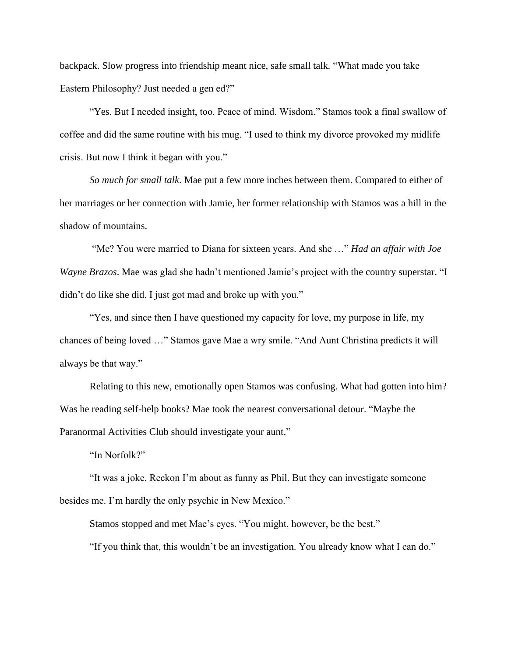backpack. Slow progress into friendship meant nice, safe small talk*.* "What made you take Eastern Philosophy? Just needed a gen ed?"

"Yes. But I needed insight, too. Peace of mind. Wisdom." Stamos took a final swallow of coffee and did the same routine with his mug. "I used to think my divorce provoked my midlife crisis. But now I think it began with you."

*So much for small talk*. Mae put a few more inches between them. Compared to either of her marriages or her connection with Jamie, her former relationship with Stamos was a hill in the shadow of mountains.

"Me? You were married to Diana for sixteen years. And she …" *Had an affair with Joe Wayne Brazos*. Mae was glad she hadn't mentioned Jamie's project with the country superstar. "I didn't do like she did. I just got mad and broke up with you."

"Yes, and since then I have questioned my capacity for love, my purpose in life, my chances of being loved …" Stamos gave Mae a wry smile. "And Aunt Christina predicts it will always be that way."

Relating to this new, emotionally open Stamos was confusing. What had gotten into him? Was he reading self-help books? Mae took the nearest conversational detour. "Maybe the Paranormal Activities Club should investigate your aunt."

"In Norfolk?"

"It was a joke. Reckon I'm about as funny as Phil. But they can investigate someone besides me. I'm hardly the only psychic in New Mexico."

Stamos stopped and met Mae's eyes. "You might, however, be the best."

"If you think that, this wouldn't be an investigation. You already know what I can do."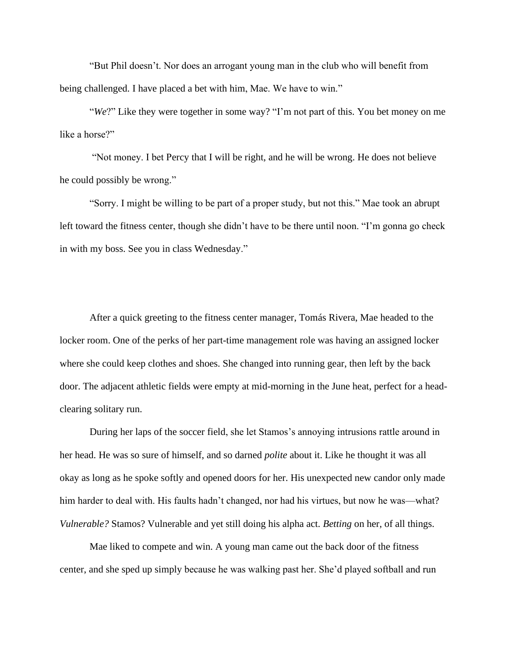"But Phil doesn't. Nor does an arrogant young man in the club who will benefit from being challenged. I have placed a bet with him, Mae. We have to win."

"*We*?" Like they were together in some way? "I'm not part of this. You bet money on me like a horse?"

"Not money. I bet Percy that I will be right, and he will be wrong. He does not believe he could possibly be wrong."

"Sorry. I might be willing to be part of a proper study, but not this." Mae took an abrupt left toward the fitness center, though she didn't have to be there until noon. "I'm gonna go check in with my boss. See you in class Wednesday."

After a quick greeting to the fitness center manager, Tomás Rivera, Mae headed to the locker room. One of the perks of her part-time management role was having an assigned locker where she could keep clothes and shoes. She changed into running gear, then left by the back door. The adjacent athletic fields were empty at mid-morning in the June heat, perfect for a headclearing solitary run.

During her laps of the soccer field, she let Stamos's annoying intrusions rattle around in her head. He was so sure of himself, and so darned *polite* about it. Like he thought it was all okay as long as he spoke softly and opened doors for her. His unexpected new candor only made him harder to deal with. His faults hadn't changed, nor had his virtues, but now he was—what? *Vulnerable?* Stamos? Vulnerable and yet still doing his alpha act. *Betting* on her, of all things.

Mae liked to compete and win. A young man came out the back door of the fitness center, and she sped up simply because he was walking past her. She'd played softball and run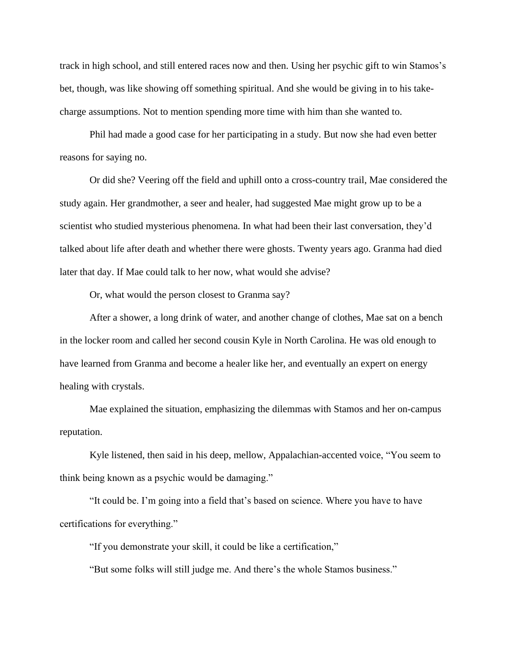track in high school, and still entered races now and then. Using her psychic gift to win Stamos's bet, though, was like showing off something spiritual. And she would be giving in to his takecharge assumptions. Not to mention spending more time with him than she wanted to.

Phil had made a good case for her participating in a study. But now she had even better reasons for saying no.

Or did she? Veering off the field and uphill onto a cross-country trail, Mae considered the study again. Her grandmother, a seer and healer, had suggested Mae might grow up to be a scientist who studied mysterious phenomena. In what had been their last conversation, they'd talked about life after death and whether there were ghosts. Twenty years ago. Granma had died later that day. If Mae could talk to her now, what would she advise?

Or, what would the person closest to Granma say?

After a shower, a long drink of water, and another change of clothes, Mae sat on a bench in the locker room and called her second cousin Kyle in North Carolina. He was old enough to have learned from Granma and become a healer like her, and eventually an expert on energy healing with crystals.

Mae explained the situation, emphasizing the dilemmas with Stamos and her on-campus reputation.

Kyle listened, then said in his deep, mellow, Appalachian-accented voice, "You seem to think being known as a psychic would be damaging."

"It could be. I'm going into a field that's based on science. Where you have to have certifications for everything."

"If you demonstrate your skill, it could be like a certification,"

"But some folks will still judge me. And there's the whole Stamos business."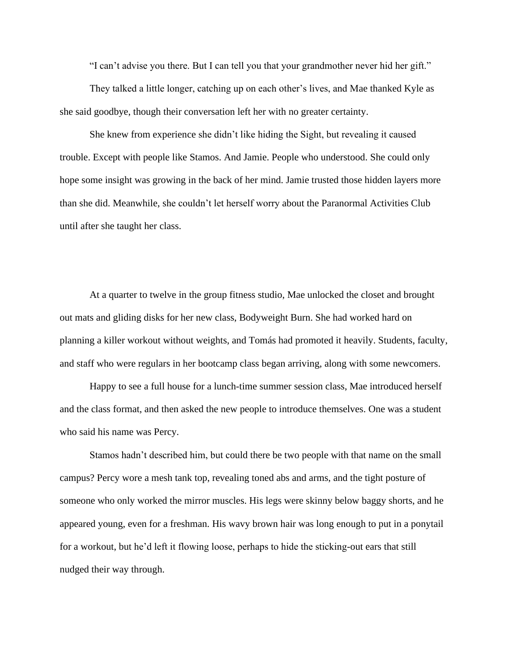"I can't advise you there. But I can tell you that your grandmother never hid her gift."

They talked a little longer, catching up on each other's lives, and Mae thanked Kyle as she said goodbye, though their conversation left her with no greater certainty.

She knew from experience she didn't like hiding the Sight, but revealing it caused trouble. Except with people like Stamos. And Jamie. People who understood. She could only hope some insight was growing in the back of her mind. Jamie trusted those hidden layers more than she did. Meanwhile, she couldn't let herself worry about the Paranormal Activities Club until after she taught her class.

At a quarter to twelve in the group fitness studio, Mae unlocked the closet and brought out mats and gliding disks for her new class, Bodyweight Burn. She had worked hard on planning a killer workout without weights, and Tomás had promoted it heavily. Students, faculty, and staff who were regulars in her bootcamp class began arriving, along with some newcomers.

Happy to see a full house for a lunch-time summer session class, Mae introduced herself and the class format, and then asked the new people to introduce themselves. One was a student who said his name was Percy.

Stamos hadn't described him, but could there be two people with that name on the small campus? Percy wore a mesh tank top, revealing toned abs and arms, and the tight posture of someone who only worked the mirror muscles. His legs were skinny below baggy shorts, and he appeared young, even for a freshman. His wavy brown hair was long enough to put in a ponytail for a workout, but he'd left it flowing loose, perhaps to hide the sticking-out ears that still nudged their way through.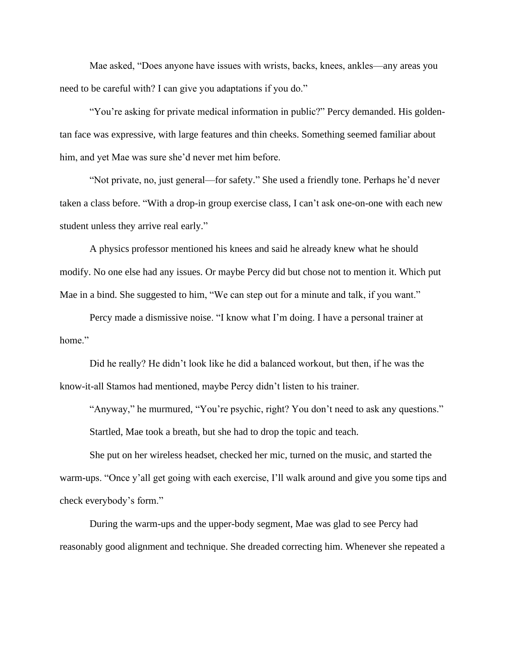Mae asked, "Does anyone have issues with wrists, backs, knees, ankles—any areas you need to be careful with? I can give you adaptations if you do."

"You're asking for private medical information in public?" Percy demanded. His goldentan face was expressive, with large features and thin cheeks. Something seemed familiar about him, and yet Mae was sure she'd never met him before.

"Not private, no, just general—for safety." She used a friendly tone. Perhaps he'd never taken a class before. "With a drop-in group exercise class, I can't ask one-on-one with each new student unless they arrive real early."

A physics professor mentioned his knees and said he already knew what he should modify. No one else had any issues. Or maybe Percy did but chose not to mention it. Which put Mae in a bind. She suggested to him, "We can step out for a minute and talk, if you want."

Percy made a dismissive noise. "I know what I'm doing. I have a personal trainer at home."

Did he really? He didn't look like he did a balanced workout, but then, if he was the know-it-all Stamos had mentioned, maybe Percy didn't listen to his trainer.

"Anyway," he murmured, "You're psychic, right? You don't need to ask any questions." Startled, Mae took a breath, but she had to drop the topic and teach.

She put on her wireless headset, checked her mic, turned on the music, and started the warm-ups. "Once y'all get going with each exercise, I'll walk around and give you some tips and check everybody's form."

During the warm-ups and the upper-body segment, Mae was glad to see Percy had reasonably good alignment and technique. She dreaded correcting him. Whenever she repeated a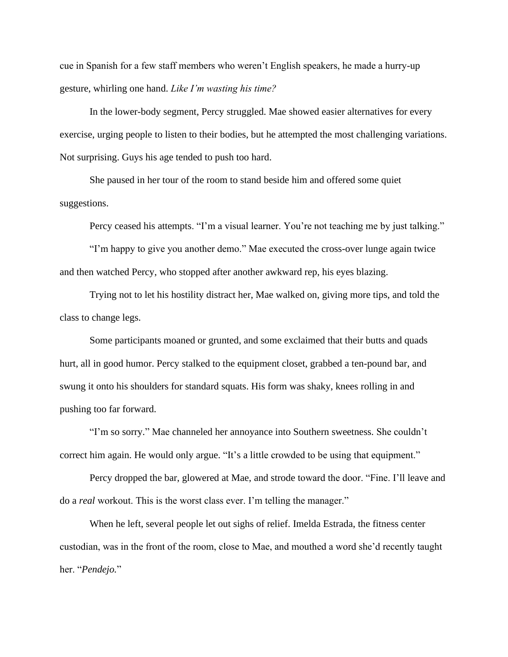cue in Spanish for a few staff members who weren't English speakers, he made a hurry-up gesture, whirling one hand. *Like I'm wasting his time?*

In the lower-body segment, Percy struggled. Mae showed easier alternatives for every exercise, urging people to listen to their bodies, but he attempted the most challenging variations. Not surprising. Guys his age tended to push too hard.

She paused in her tour of the room to stand beside him and offered some quiet suggestions.

Percy ceased his attempts. "I'm a visual learner. You're not teaching me by just talking."

"I'm happy to give you another demo." Mae executed the cross-over lunge again twice and then watched Percy, who stopped after another awkward rep, his eyes blazing.

Trying not to let his hostility distract her, Mae walked on, giving more tips, and told the class to change legs.

Some participants moaned or grunted, and some exclaimed that their butts and quads hurt, all in good humor. Percy stalked to the equipment closet, grabbed a ten-pound bar, and swung it onto his shoulders for standard squats. His form was shaky, knees rolling in and pushing too far forward.

"I'm so sorry." Mae channeled her annoyance into Southern sweetness. She couldn't correct him again. He would only argue. "It's a little crowded to be using that equipment."

Percy dropped the bar, glowered at Mae, and strode toward the door. "Fine. I'll leave and do a *real* workout. This is the worst class ever. I'm telling the manager."

When he left, several people let out sighs of relief. Imelda Estrada, the fitness center custodian, was in the front of the room, close to Mae, and mouthed a word she'd recently taught her. "*Pendejo.*"